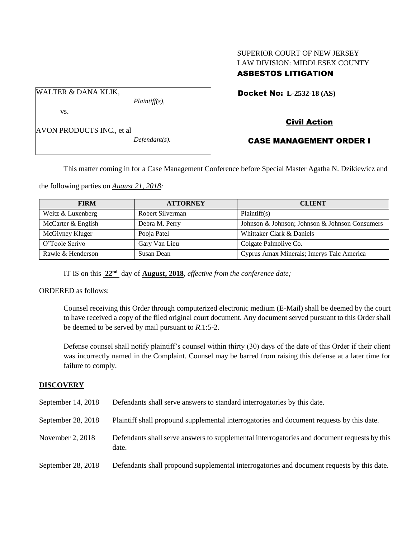## SUPERIOR COURT OF NEW JERSEY LAW DIVISION: MIDDLESEX COUNTY ASBESTOS LITIGATION

Docket No: **L-2532-18 (AS)** 

vs.

WALTER & DANA KLIK,

AVON PRODUCTS INC., et al

*Defendant(s).*

*Plaintiff(s),*

# Civil Action

## CASE MANAGEMENT ORDER I

This matter coming in for a Case Management Conference before Special Master Agatha N. Dzikiewicz and

the following parties on *August 21, 2018:*

| <b>FIRM</b>        | <b>ATTORNEY</b>  | <b>CLIENT</b>                                  |
|--------------------|------------------|------------------------------------------------|
| Weitz & Luxenberg  | Robert Silverman | Plaintiff(s)                                   |
| McCarter & English | Debra M. Perry   | Johnson & Johnson; Johnson & Johnson Consumers |
| McGivney Kluger    | Pooja Patel      | Whittaker Clark & Daniels                      |
| O'Toole Scrivo     | Gary Van Lieu    | Colgate Palmolive Co.                          |
| Rawle & Henderson  | Susan Dean       | Cyprus Amax Minerals; Imerys Talc America      |

IT IS on this **22nd** day of **August, 2018**, *effective from the conference date;*

ORDERED as follows:

Counsel receiving this Order through computerized electronic medium (E-Mail) shall be deemed by the court to have received a copy of the filed original court document. Any document served pursuant to this Order shall be deemed to be served by mail pursuant to *R*.1:5-2.

Defense counsel shall notify plaintiff's counsel within thirty (30) days of the date of this Order if their client was incorrectly named in the Complaint. Counsel may be barred from raising this defense at a later time for failure to comply.

## **DISCOVERY**

| September 14, 2018 | Defendants shall serve answers to standard interrogatories by this date.                              |
|--------------------|-------------------------------------------------------------------------------------------------------|
| September 28, 2018 | Plaintiff shall propound supplemental interrogatories and document requests by this date.             |
| November 2, 2018   | Defendants shall serve answers to supplemental interrogatories and document requests by this<br>date. |
| September 28, 2018 | Defendants shall propound supplemental interrogatories and document requests by this date.            |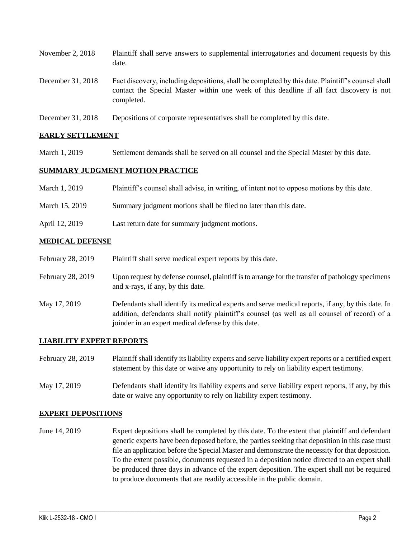| November $2, 2018$ | Plaintiff shall serve answers to supplemental interrogatories and document requests by this<br>date.                                                                                                        |
|--------------------|-------------------------------------------------------------------------------------------------------------------------------------------------------------------------------------------------------------|
| December 31, 2018  | Fact discovery, including depositions, shall be completed by this date. Plaintiff's counsel shall<br>contact the Special Master within one week of this deadline if all fact discovery is not<br>completed. |
| December 31, 2018  | Depositions of corporate representatives shall be completed by this date.                                                                                                                                   |

#### **EARLY SETTLEMENT**

March 1, 2019 Settlement demands shall be served on all counsel and the Special Master by this date.

#### **SUMMARY JUDGMENT MOTION PRACTICE**

| March 1, 2019  | Plaintiff's counsel shall advise, in writing, of intent not to oppose motions by this date. |
|----------------|---------------------------------------------------------------------------------------------|
| March 15, 2019 | Summary judgment motions shall be filed no later than this date.                            |
| April 12, 2019 | Last return date for summary judgment motions.                                              |

#### **MEDICAL DEFENSE**

| February 28, 2019 | Plaintiff shall serve medical expert reports by this date.                                                                                                                                                                                               |
|-------------------|----------------------------------------------------------------------------------------------------------------------------------------------------------------------------------------------------------------------------------------------------------|
| February 28, 2019 | Upon request by defense counsel, plaintiff is to arrange for the transfer of pathology specimens<br>and x-rays, if any, by this date.                                                                                                                    |
| May 17, 2019      | Defendants shall identify its medical experts and serve medical reports, if any, by this date. In<br>addition, defendants shall notify plaintiff's counsel (as well as all counsel of record) of a<br>joinder in an expert medical defense by this date. |

#### **LIABILITY EXPERT REPORTS**

| February 28, 2019 | Plaintiff shall identify its liability experts and serve liability expert reports or a certified expert |
|-------------------|---------------------------------------------------------------------------------------------------------|
|                   | statement by this date or waive any opportunity to rely on liability expert testimony.                  |
|                   |                                                                                                         |

May 17, 2019 Defendants shall identify its liability experts and serve liability expert reports, if any, by this date or waive any opportunity to rely on liability expert testimony.

#### **EXPERT DEPOSITIONS**

June 14, 2019 Expert depositions shall be completed by this date. To the extent that plaintiff and defendant generic experts have been deposed before, the parties seeking that deposition in this case must file an application before the Special Master and demonstrate the necessity for that deposition. To the extent possible, documents requested in a deposition notice directed to an expert shall be produced three days in advance of the expert deposition. The expert shall not be required to produce documents that are readily accessible in the public domain.

 $\_$  ,  $\_$  ,  $\_$  ,  $\_$  ,  $\_$  ,  $\_$  ,  $\_$  ,  $\_$  ,  $\_$  ,  $\_$  ,  $\_$  ,  $\_$  ,  $\_$  ,  $\_$  ,  $\_$  ,  $\_$  ,  $\_$  ,  $\_$  ,  $\_$  ,  $\_$  ,  $\_$  ,  $\_$  ,  $\_$  ,  $\_$  ,  $\_$  ,  $\_$  ,  $\_$  ,  $\_$  ,  $\_$  ,  $\_$  ,  $\_$  ,  $\_$  ,  $\_$  ,  $\_$  ,  $\_$  ,  $\_$  ,  $\_$  ,